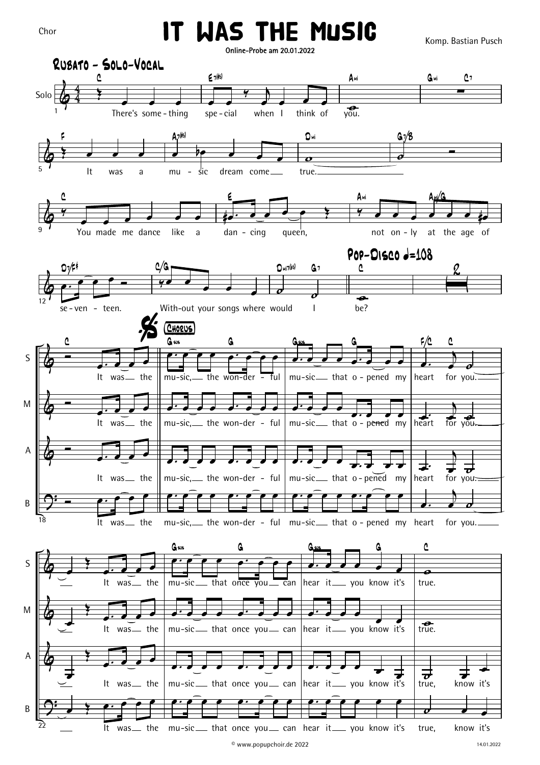## IT WAS THE MUSIC

Komp. Bastian Pusch

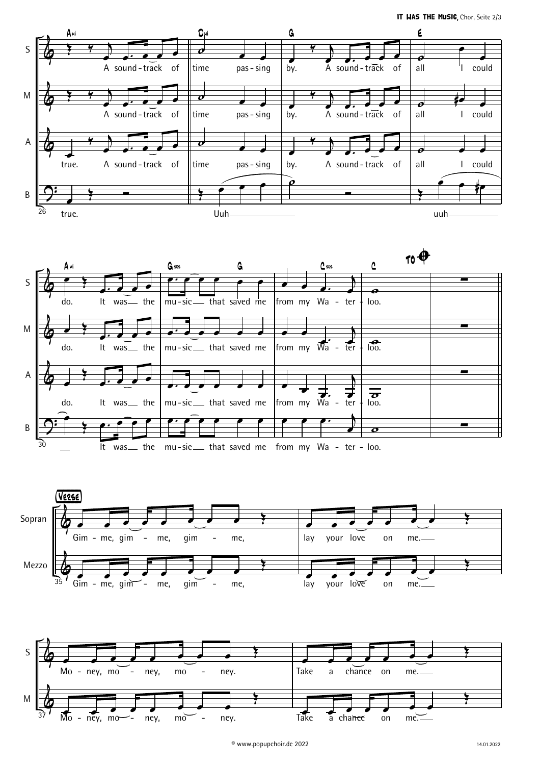